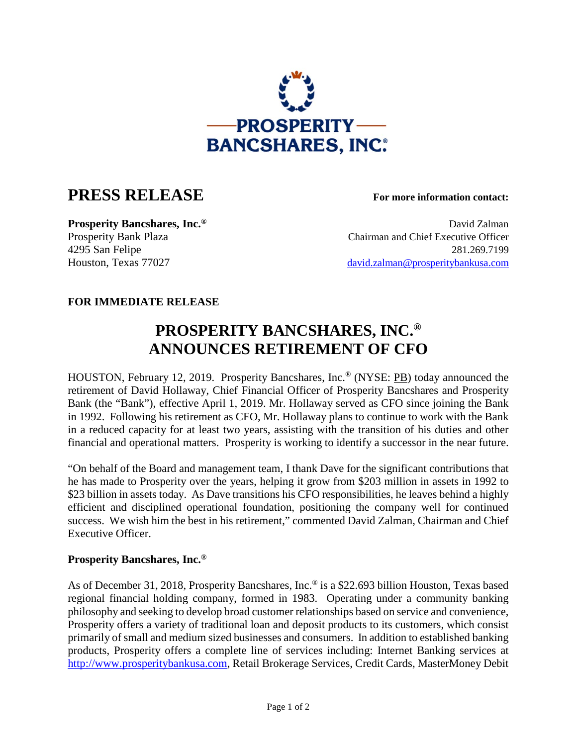

## **PRESS RELEASE For more information contact:**

**Prosperity Bancshares, Inc.<sup>®</sup> David Zalman** Prosperity Bank Plaza Chairman and Chief Executive Officer 4295 San Felipe 281.269.7199 Houston, Texas 77027 [david.zalman@prosperitybankusa.com](mailto:david.zalman@prosperitybankusa.com)

## **FOR IMMEDIATE RELEASE**

## **PROSPERITY BANCSHARES, INC.® ANNOUNCES RETIREMENT OF CFO**

HOUSTON, February 12, 2019. Prosperity Bancshares, Inc.® (NYSE: PB) today announced the retirement of David Hollaway, Chief Financial Officer of Prosperity Bancshares and Prosperity Bank (the "Bank"), effective April 1, 2019. Mr. Hollaway served as CFO since joining the Bank in 1992. Following his retirement as CFO, Mr. Hollaway plans to continue to work with the Bank in a reduced capacity for at least two years, assisting with the transition of his duties and other financial and operational matters. Prosperity is working to identify a successor in the near future.

"On behalf of the Board and management team, I thank Dave for the significant contributions that he has made to Prosperity over the years, helping it grow from \$203 million in assets in 1992 to \$23 billion in assets today. As Dave transitions his CFO responsibilities, he leaves behind a highly efficient and disciplined operational foundation, positioning the company well for continued success. We wish him the best in his retirement," commented David Zalman, Chairman and Chief Executive Officer.

## **Prosperity Bancshares, Inc.®**

As of December 31, 2018, Prosperity Bancshares, Inc.<sup>®</sup> is a \$22.693 billion Houston, Texas based regional financial holding company, formed in 1983. Operating under a community banking philosophy and seeking to develop broad customer relationships based on service and convenience, Prosperity offers a variety of traditional loan and deposit products to its customers, which consist primarily of small and medium sized businesses and consumers. In addition to established banking products, Prosperity offers a complete line of services including: Internet Banking services at http://www.prosperitybankusa.com, Retail Brokerage Services, Credit Cards, MasterMoney Debit